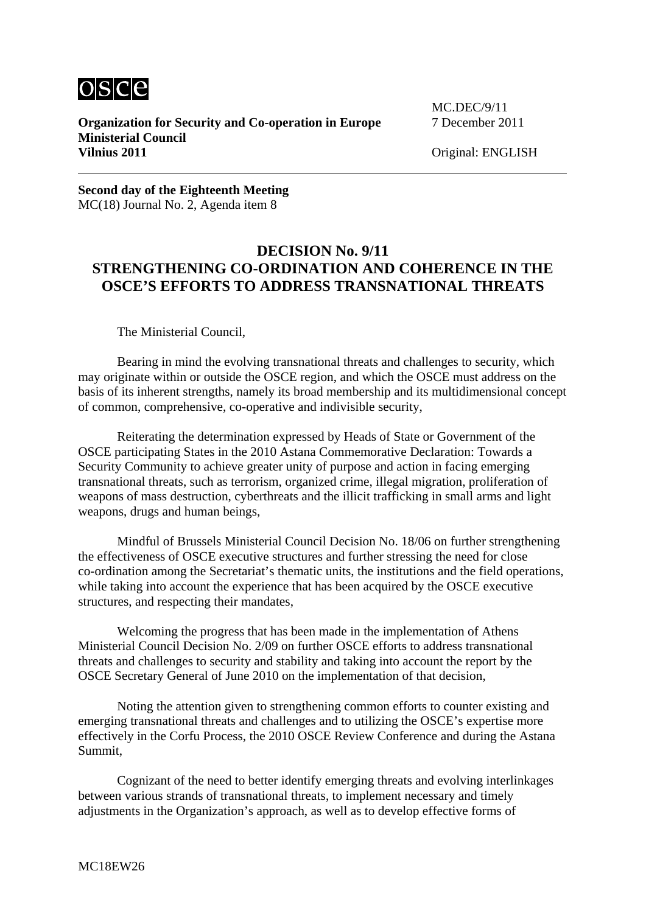

**Organization for Security and Co-operation in Europe** 7 December 2011 **Ministerial Council Vilnius 2011** Original: ENGLISH

MC.DEC/9/11

**Second day of the Eighteenth Meeting**  MC(18) Journal No. 2, Agenda item 8

## **DECISION No. 9/11 STRENGTHENING CO-ORDINATION AND COHERENCE IN THE OSCE'S EFFORTS TO ADDRESS TRANSNATIONAL THREATS**

The Ministerial Council,

 Bearing in mind the evolving transnational threats and challenges to security, which may originate within or outside the OSCE region, and which the OSCE must address on the basis of its inherent strengths, namely its broad membership and its multidimensional concept of common, comprehensive, co-operative and indivisible security,

 Reiterating the determination expressed by Heads of State or Government of the OSCE participating States in the 2010 Astana Commemorative Declaration: Towards a Security Community to achieve greater unity of purpose and action in facing emerging transnational threats, such as terrorism, organized crime, illegal migration, proliferation of weapons of mass destruction, cyberthreats and the illicit trafficking in small arms and light weapons, drugs and human beings,

 Mindful of Brussels Ministerial Council Decision No. 18/06 on further strengthening the effectiveness of OSCE executive structures and further stressing the need for close co-ordination among the Secretariat's thematic units, the institutions and the field operations, while taking into account the experience that has been acquired by the OSCE executive structures, and respecting their mandates,

 Welcoming the progress that has been made in the implementation of Athens Ministerial Council Decision No. 2/09 on further OSCE efforts to address transnational threats and challenges to security and stability and taking into account the report by the OSCE Secretary General of June 2010 on the implementation of that decision,

 Noting the attention given to strengthening common efforts to counter existing and emerging transnational threats and challenges and to utilizing the OSCE's expertise more effectively in the Corfu Process, the 2010 OSCE Review Conference and during the Astana Summit,

 Cognizant of the need to better identify emerging threats and evolving interlinkages between various strands of transnational threats, to implement necessary and timely adjustments in the Organization's approach, as well as to develop effective forms of